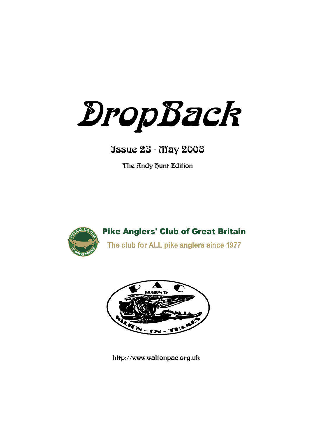DropBack

# Issue 23 - May 2008

The Andy hunt Edition



**Pike Anglers' Club of Great Britain** The club for ALL pike anglers since 1977



http://www.waltonpac.org.uk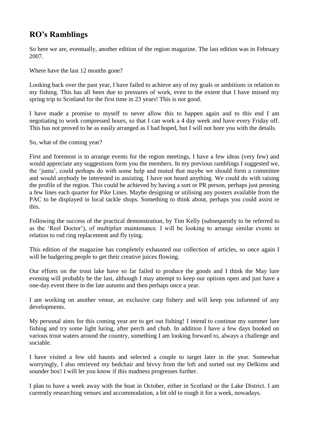## **RO's Ramblings**

So here we are, eventually, another edition of the region magazine. The last edition was in February 2007.

Where have the last 12 months gone?

Looking back over the past year, I have failed to achieve any of my goals or ambitions in relation to my fishing. This has all been due to pressures of work, even to the extent that I have missed my spring trip to Scotland for the first time in 23 years! This is not good.

I have made a promise to myself to never allow this to happen again and to this end I am negotiating to work compressed hours, so that I can work a 4 day week and have every Friday off. This has not proved to be as easily arranged as I had hoped, but I will not bore you with the details.

So, what of the coming year?

First and foremost is to arrange events for the region meetings, I have a few ideas (very few) and would appreciate any suggestions form you the members. In my previous ramblings I suggested we, the "junta", could perhaps do with some help and muted that maybe we should form a committee and would anybody be interested in assisting. I have not heard anything. We could do with raising the profile of the region. This could be achieved by having a sort or PR person, perhaps just penning a few lines each quarter for Pike Lines. Maybe designing or utilising any posters available from the PAC to be displayed in local tackle shops. Something to think about, perhaps you could assist re this.

Following the success of the practical demonstration, by Tim Kelly (subsequently to be referred to as the "Reel Doctor"), of multiplier maintenance. I will be looking to arrange similar events in relation to rod ring replacement and fly tying.

This edition of the magazine has completely exhausted our collection of articles, so once again I will be badgering people to get their creative juices flowing.

Our efforts on the trout lake have so far failed to produce the goods and I think the May lure evening will probably be the last, although I may attempt to keep our options open and just have a one-day event there in the late autumn and then perhaps once a year.

I am working on another venue, an exclusive carp fishery and will keep you informed of any developments.

My personal aims for this coming year are to get out fishing! I intend to continue my summer lure fishing and try some light luring, after perch and chub. In addition I have a few days booked on various trout waters around the country, something I am looking forward to, always a challenge and sociable.

I have visited a few old haunts and selected a couple to target later in the year. Somewhat worryingly, I also retrieved my bedchair and bivvy from the loft and sorted out my Delkims and sounder box! I will let you know if this madness progresses further.

I plan to have a week away with the boat in October, either in Scotland or the Lake District. I am currently researching venues and accommodation, a bit old to rough it for a week, nowadays.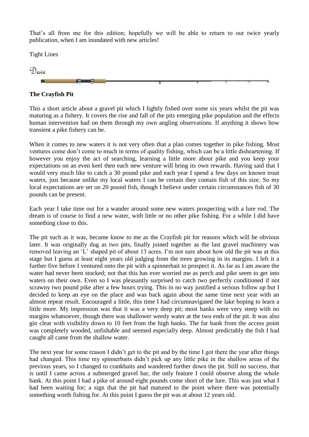That's all from me for this edition; hopefully we will be able to return to our twice yearly publication, when I am inundated with new articles!

Tight Lines



**The Crayfish Pit**

This a short article about a gravel pit which I lightly fished over some six years whilst the pit was maturing as a fishery. It covers the rise and fall of the pits emerging pike population and the effects human intervention had on them through my own angling observations. If anything it shows how transient a pike fishery can be.

When it comes to new waters it is not very often that a plan comes together in pike fishing. Most ventures come don"t come to much in terms of quality fishing, which can be a little disheartening. If however you enjoy the act of searching, learning a little more about pike and you keep your expectations on an even keel then each new venture will bring its own rewards. Having said that I would very much like to catch a 30 pound pike and each year I spend a few days on known trout waters, just because unlike my local waters I can be certain they contain fish of this size. So my local expectations are set on 20 pound fish, though I believe under certain circumstances fish of 30 pounds can be present.

Each year I take time out for a wander around some new waters prospecting with a lure rod. The dream is of course to find a new water, with little or no other pike fishing. For a while I did have something close to this.

The pit such as it was, became know to me as the Crayfish pit for reasons which will be obvious later. It was originally dug as two pits, finally joined together as the last gravel machinery was removed leaving an "L" shaped pit of about 13 acres. I"m not sure about how old the pit was at this stage but I guess at least eight years old judging from the trees growing in its margins. I left it a further five before I ventured onto the pit with a spinnerbait to prospect it. As far as I am aware the water had never been stocked; not that this has ever worried me as perch and pike seem to get into waters on their own. Even so I was pleasantly surprised to catch two perfectly conditioned if not scrawny two pound pike after a few hours trying. This in no way justified a serious follow up but I decided to keep an eye on the place and was back again about the same time next year with an almost repeat result. Encouraged a little, this time I had circumnavigated the lake hoping to learn a little more. My impression was that it was a very deep pit; most banks were very steep with no margins whatsoever, though there was shallower weedy water at the two ends of the pit. It was also gin clear with visibility down to 10 feet from the high banks. The far bank from the access point was completely wooded, unfishable and seemed especially deep. Almost predictably the fish I had caught all came from the shallow water.

The next year for some reason I didn't get to the pit and by the time I got there the year after things had changed. This time my spinnerbaits didn"t pick up any little pike in the shallow areas of the previous years, so I changed to crankbaits and wandered further down the pit. Still no success, that is until I came across a submerged gravel bar, the only feature I could observe along the whole bank. At this point I had a pike of around eight pounds come short of the lure. This was just what I had been waiting for; a sign that the pit had matured to the point where there was potentially something worth fishing for. At this point I guess the pit was at about 12 years old.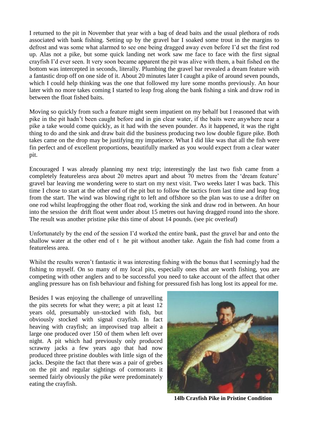I returned to the pit in November that year with a bag of dead baits and the usual plethora of rods associated with bank fishing. Setting up by the gravel bar I soaked some trout in the margins to defrost and was some what alarmed to see one being dragged away even before I"d set the first rod up. Alas not a pike, but some quick landing net work saw me face to face with the first signal crayfish I"d ever seen. It very soon became apparent the pit was alive with them, a bait fished on the bottom was intercepted in seconds, literally. Plumbing the gravel bar revealed a dream feature with a fantastic drop off on one side of it. About 20 minutes later I caught a pike of around seven pounds, which I could help thinking was the one that followed my lure some months previously. An hour later with no more takes coming I started to leap frog along the bank fishing a sink and draw rod in between the float fished baits.

Moving so quickly from such a feature might seem impatient on my behalf but I reasoned that with pike in the pit hadn"t been caught before and in gin clear water, if the baits were anywhere near a pike a take would come quickly, as it had with the seven pounder. As it happened, it was the right thing to do and the sink and draw bait did the business producing two low double figure pike. Both takes came on the drop may be justifying my impatience. What I did like was that all the fish were fin perfect and of excellent proportions, beautifully marked as you would expect from a clear water pit.

Encouraged I was already planning my next trip; interestingly the last two fish came from a completely featureless area about 20 metres apart and about 70 metres from the "dream feature" gravel bar leaving me wondering were to start on my next visit. Two weeks later I was back. This time I chose to start at the other end of the pit but to follow the tactics from last time and leap frog from the start. The wind was blowing right to left and offshore so the plan was to use a drifter on one rod whilst leapfrogging the other float rod, working the sink and draw rod in between. An hour into the session the drift float went under about 15 metres out having dragged round into the shore. The result was another pristine pike this time of about 14 pounds. (see pic overleaf)

Unfortunately by the end of the session I"d worked the entire bank, past the gravel bar and onto the shallow water at the other end of t he pit without another take. Again the fish had come from a featureless area.

Whilst the results weren"t fantastic it was interesting fishing with the bonus that I seemingly had the fishing to myself. On so many of my local pits, especially ones that are worth fishing, you are competing with other anglers and to be successful you need to take account of the affect that other angling pressure has on fish behaviour and fishing for pressured fish has long lost its appeal for me.

Besides I was enjoying the challenge of unravelling the pits secrets for what they were; a pit at least 12 years old, presumably un-stocked with fish, but obviously stocked with signal crayfish. In fact heaving with crayfish; an improvised trap albeit a large one produced over 150 of them when left over night. A pit which had previously only produced scrawny jacks a few years ago that had now produced three pristine doubles with little sign of the jacks. Despite the fact that there was a pair of grebes on the pit and regular sightings of cormorants it seemed fairly obviously the pike were predominately eating the crayfish.



**14lb Crayfish Pike in Pristine Condition**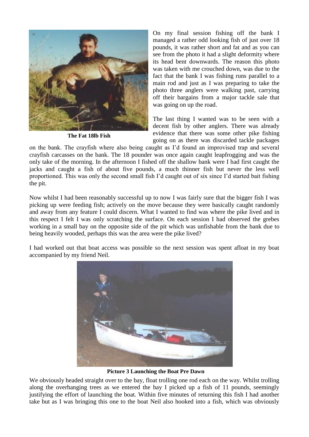

**The Fat 18lb Fish**

On my final session fishing off the bank I managed a rather odd looking fish of just over 18 pounds, it was rather short and fat and as you can see from the photo it had a slight deformity where its head bent downwards. The reason this photo was taken with me crouched down, was due to the fact that the bank I was fishing runs parallel to a main rod and just as I was preparing to take the photo three anglers were walking past, carrying off their bargains from a major tackle sale that was going on up the road.

The last thing I wanted was to be seen with a decent fish by other anglers. There was already evidence that there was some other pike fishing going on as there was discarded tackle packages

on the bank. The crayfish where also being caught as I"d found an improvised trap and several crayfish carcasses on the bank. The 18 pounder was once again caught leapfrogging and was the only take of the morning. In the afternoon I fished off the shallow bank were I had first caught the jacks and caught a fish of about five pounds, a much thinner fish but never the less well proportioned. This was only the second small fish I"d caught out of six since I"d started bait fishing the pit.

Now whilst I had been reasonably successful up to now I was fairly sure that the bigger fish I was picking up were feeding fish; actively on the move because they were basically caught randomly and away from any feature I could discern. What I wanted to find was where the pike lived and in this respect I felt I was only scratching the surface. On each session I had observed the grebes working in a small bay on the opposite side of the pit which was unfishable from the bank due to being heavily wooded, perhaps this was the area were the pike lived?

I had worked out that boat access was possible so the next session was spent afloat in my boat accompanied by my friend Neil.



**Picture 3 Launching the Boat Pre Dawn**

We obviously headed straight over to the bay, float trolling one rod each on the way. Whilst trolling along the overhanging trees as we entered the bay I picked up a fish of 11 pounds, seemingly justifying the effort of launching the boat. Within five minutes of returning this fish I had another take but as I was bringing this one to the boat Neil also hooked into a fish, which was obviously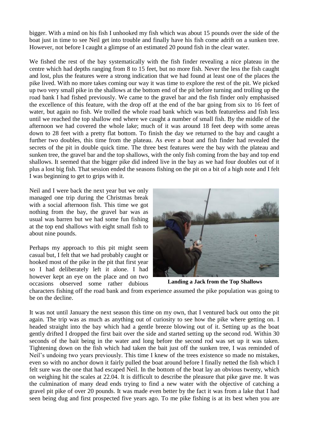bigger. With a mind on his fish I unhooked my fish which was about 15 pounds over the side of the boat just in time to see Neil get into trouble and finally have his fish come adrift on a sunken tree. However, not before I caught a glimpse of an estimated 20 pound fish in the clear water.

We fished the rest of the bay systematically with the fish finder revealing a nice plateau in the centre which had depths ranging from 8 to 15 feet, but no more fish. Never the less the fish caught and lost, plus the features were a strong indication that we had found at least one of the places the pike lived. With no more takes coming our way it was time to explore the rest of the pit. We picked up two very small pike in the shallows at the bottom end of the pit before turning and trolling up the road bank I had fished previously. We came to the gravel bar and the fish finder only emphasised the excellence of this feature, with the drop off at the end of the bar going from six to 16 feet of water, but again no fish. We trolled the whole road bank which was both featureless and fish less until we reached the top shallow end where we caught a number of small fish. By the middle of the afternoon we had covered the whole lake; much of it was around 18 feet deep with some areas down to 28 feet with a pretty flat bottom. To finish the day we returned to the bay and caught a further two doubles, this time from the plateau. As ever a boat and fish finder had revealed the secrets of the pit in double quick time. The three best features were the bay with the plateau and sunken tree, the gravel bar and the top shallows, with the only fish coming from the bay and top end shallows. It seemed that the bigger pike did indeed live in the bay as we had four doubles out of it plus a lost big fish. That session ended the seasons fishing on the pit on a bit of a high note and I felt I was beginning to get to grips with it.

Neil and I were back the next year but we only managed one trip during the Christmas break with a social afternoon fish. This time we got nothing from the bay, the gravel bar was as usual was barren but we had some fun fishing at the top end shallows with eight small fish to about nine pounds.

Perhaps my approach to this pit might seem casual but, I felt that we had probably caught or hooked most of the pike in the pit that first year so I had deliberately left it alone. I had however kept an eye on the place and on two occasions observed some rather dubious



**Landing a Jack from the Top Shallows**

characters fishing off the road bank and from experience assumed the pike population was going to be on the decline.

It was not until January the next season this time on my own, that I ventured back out onto the pit again. The trip was as much as anything out of curiosity to see how the pike where getting on. I headed straight into the bay which had a gentle breeze blowing out of it. Setting up as the boat gently drifted I dropped the first bait over the side and started setting up the second rod. Within 30 seconds of the bait being in the water and long before the second rod was set up it was taken. Tightening down on the fish which had taken the bait just off the sunken tree, I was reminded of Neil"s undoing two years previously. This time I knew of the trees existence so made no mistakes, even so with no anchor down it fairly pulled the boat around before I finally netted the fish which I felt sure was the one that had escaped Neil. In the bottom of the boat lay an obvious twenty, which on weighing hit the scales at 22.04. It is difficult to describe the pleasure that pike gave me. It was the culmination of many dead ends trying to find a new water with the objective of catching a gravel pit pike of over 20 pounds. It was made even better by the fact it was from a lake that I had seen being dug and first prospected five years ago. To me pike fishing is at its best when you are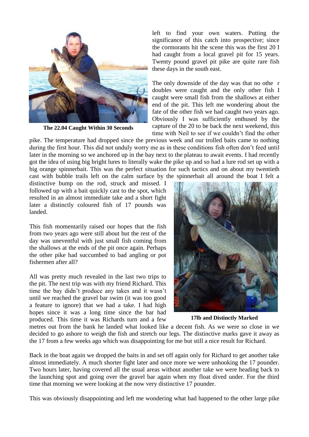

**The 22.04 Caught Within 30 Seconds**

left to find your own waters. Putting the significance of this catch into prospective; since the cormorants hit the scene this was the first 20 I had caught from a local gravel pit for 15 years. Twenty pound gravel pit pike are quite rare fish these days in the south east.

The only downside of the day was that no othe r doubles were caught and the only other fish I caught were small fish from the shallows at either end of the pit. This left me wondering about the fate of the other fish we had caught two years ago. Obviously I was sufficiently enthused by the capture of the 20 to be back the next weekend, this time with Neil to see if we couldn"t find the other

pike. The temperature had dropped since the previous week and our trolled baits came to nothing during the first hour. This did not unduly worry me as in these conditions fish often don't feed until later in the morning so we anchored up in the bay next to the plateau to await events. I had recently got the idea of using big bright lures to literally wake the pike up and so had a lure rod set up with a big orange spinnerbait. This was the perfect situation for such tactics and on about my twentieth cast with bubble trails left on the calm surface by the spinnerbait all around the boat I felt a

distinctive bump on the rod, struck and missed. I followed up with a bait quickly cast to the spot, which resulted in an almost immediate take and a short fight later a distinctly coloured fish of 17 pounds was landed.

This fish momentarily raised our hopes that the fish from two years ago were still about but the rest of the day was uneventful with just small fish coming from the shallows at the ends of the pit once again. Perhaps the other pike had succumbed to bad angling or pot fishermen after all?

All was pretty much revealed in the last two trips to the pit. The next trip was with my friend Richard. This time the bay didn"t produce any takes and it wasn"t until we reached the gravel bar swim (it was too good a feature to ignore) that we had a take. I had high hopes since it was a long time since the bar had produced. This time it was Richards turn and a few



**17lb and Distinctly Marked**

metres out from the bank he landed what looked like a decent fish. As we were so close in we decided to go ashore to weigh the fish and stretch our legs. The distinctive marks gave it away as the 17 from a few weeks ago which was disappointing for me but still a nice result for Richard.

Back in the boat again we dropped the baits in and set off again only for Richard to get another take almost immediately. A much shorter fight later and once more we were unhooking the 17 pounder. Two hours later, having covered all the usual areas without another take we were heading back to the launching spot and going over the gravel bar again when my float dived under. For the third time that morning we were looking at the now very distinctive 17 pounder.

This was obviously disappointing and left me wondering what had happened to the other large pike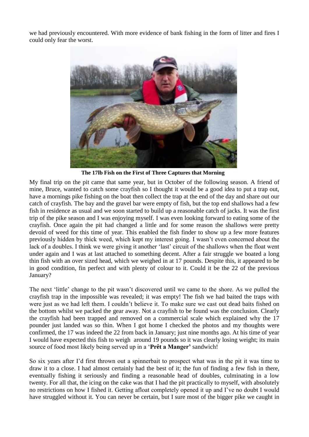we had previously encountered. With more evidence of bank fishing in the form of litter and fires I could only fear the worst.



**The 17lb Fish on the First of Three Captures that Morning**

My final trip on the pit came that same year, but in October of the following season. A friend of mine, Bruce, wanted to catch some crayfish so I thought it would be a good idea to put a trap out, have a mornings pike fishing on the boat then collect the trap at the end of the day and share out our catch of crayfish. The bay and the gravel bar were empty of fish, but the top end shallows had a few fish in residence as usual and we soon started to build up a reasonable catch of jacks. It was the first trip of the pike season and I was enjoying myself. I was even looking forward to eating some of the crayfish. Once again the pit had changed a little and for some reason the shallows were pretty devoid of weed for this time of year. This enabled the fish finder to show up a few more features previously hidden by thick weed, which kept my interest going. I wasn"t even concerned about the lack of a doubles. I think we were giving it another 'last' circuit of the shallows when the float went under again and I was at last attached to something decent. After a fair struggle we boated a long thin fish with an over sized head, which we weighed in at 17 pounds. Despite this, it appeared to be in good condition, fin perfect and with plenty of colour to it. Could it be the 22 of the previous January?

The next "little" change to the pit wasn"t discovered until we came to the shore. As we pulled the crayfish trap in the impossible was revealed; it was empty! The fish we had baited the traps with were just as we had left them. I couldn"t believe it. To make sure we cast out dead baits fished on the bottom whilst we packed the gear away. Not a crayfish to be found was the conclusion. Clearly the crayfish had been trapped and removed on a commercial scale which explained why the 17 pounder just landed was so thin. When I got home I checked the photos and my thoughts were confirmed, the 17 was indeed the 22 from back in January; just nine months ago. At his time of year I would have expected this fish to weigh around 19 pounds so it was clearly losing weight; its main source of food most likely being served up in a "**Prêt a Manger'** sandwich!

So six years after I"d first thrown out a spinnerbait to prospect what was in the pit it was time to draw it to a close. I had almost certainly had the best of it; the fun of finding a few fish in there, eventually fishing it seriously and finding a reasonable head of doubles, culminating in a low twenty. For all that, the icing on the cake was that I had the pit practically to myself, with absolutely no restrictions on how I fished it. Getting afloat completely opened it up and I"ve no doubt I would have struggled without it. You can never be certain, but I sure most of the bigger pike we caught in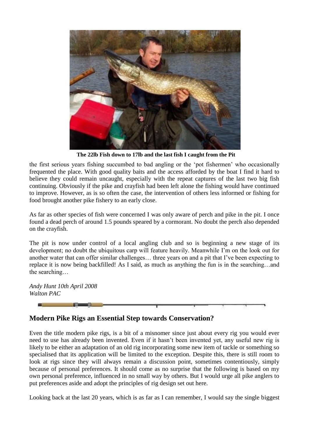

**The 22lb Fish down to 17lb and the last fish I caught from the Pit**

the first serious years fishing succumbed to bad angling or the "pot fishermen" who occasionally frequented the place. With good quality baits and the access afforded by the boat I find it hard to believe they could remain uncaught, especially with the repeat captures of the last two big fish continuing. Obviously if the pike and crayfish had been left alone the fishing would have continued to improve. However, as is so often the case, the intervention of others less informed or fishing for food brought another pike fishery to an early close.

As far as other species of fish were concerned I was only aware of perch and pike in the pit. I once found a dead perch of around 1.5 pounds speared by a cormorant. No doubt the perch also depended on the crayfish.

The pit is now under control of a local angling club and so is beginning a new stage of its development; no doubt the ubiquitous carp will feature heavily. Meanwhile I"m on the look out for another water that can offer similar challenges… three years on and a pit that I"ve been expecting to replace it is now being backfilled! As I said, as much as anything the fun is in the searching…and the searching…

*Andy Hunt 10th April 2008 Walton PAC*



### **Modern Pike Rigs an Essential Step towards Conservation?**

Even the title modern pike rigs, is a bit of a misnomer since just about every rig you would ever need to use has already been invented. Even if it hasn"t been invented yet, any useful new rig is likely to be either an adaptation of an old rig incorporating some new item of tackle or something so specialised that its application will be limited to the exception. Despite this, there is still room to look at rigs since they will always remain a discussion point, sometimes contentiously, simply because of personal preferences. It should come as no surprise that the following is based on my own personal preference, influenced in no small way by others. But I would urge all pike anglers to put preferences aside and adopt the principles of rig design set out here.

Looking back at the last 20 years, which is as far as I can remember, I would say the single biggest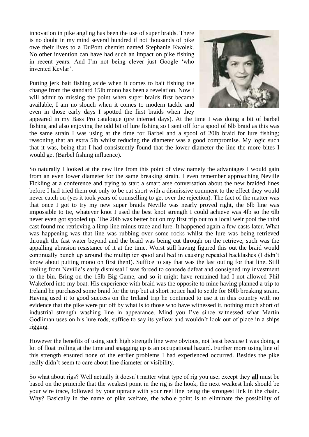innovation in pike angling has been the use of super braids. There is no doubt in my mind several hundred if not thousands of pike owe their lives to a DuPont chemist named Stephanie Kwolek. No other invention can have had such an impact on pike fishing in recent years. And I"m not being clever just Google "who invented Kevlar".

Putting jerk bait fishing aside when it comes to bait fishing the change from the standard 15lb mono has been a revelation. Now I will admit to missing the point when super braids first became available, I am no slouch when it comes to modern tackle and even in those early days I spotted the first braids when they



appeared in my Bass Pro catalogue (pre internet days). At the time I was doing a bit of barbel fishing and also enjoying the odd bit of lure fishing so I sent off for a spool of 6lb braid as this was the same strain I was using at the time for Barbel and a spool of 20lb braid for lure fishing; reasoning that an extra 5lb whilst reducing the diameter was a good compromise. My logic such that it was, being that I had consistently found that the lower diameter the line the more bites I would get (Barbel fishing influence).

So naturally I looked at the new line from this point of view namely the advantages I would gain from an even lower diameter for the same breaking strain. I even remember approaching Neville Fickling at a conference and trying to start a smart arse conversation about the new braided lines before I had tried them out only to be cut short with a dismissive comment to the effect they would never catch on (yes it took years of counselling to get over the rejection). The fact of the matter was that once I got to try my new super braids Neville was nearly proved right, the 6lb line was impossible to tie, whatever knot I used the best knot strength I could achieve was 4lb so the 6lb never even got spooled up. The 20lb was better but on my first trip out to a local weir pool the third cast found me retrieving a limp line minus trace and lure. It happened again a few casts later. What was happening was that line was rubbing over some rocks whilst the lure was being retrieved through the fast water beyond and the braid was being cut through on the retrieve, such was the appalling abrasion resistance of it at the time. Worst still having figured this out the braid would continually bunch up around the multiplier spool and bed in causing repeated backlashes (I didn"t know about putting mono on first then!). Suffice to say that was the last outing for that line. Still reeling from Neville's early dismissal I was forced to concede defeat and consigned my investment to the bin. Bring on the 15lb Big Game, and so it might have remained had I not allowed Phil Wakeford into my boat. His experience with braid was the opposite to mine having planned a trip to Ireland he purchased some braid for the trip but at short notice had to settle for 80lb breaking strain. Having used it to good success on the Ireland trip he continued to use it in this country with no evidence that the pike were put off by what is to those who have witnessed it, nothing much short of industrial strength washing line in appearance. Mind you I"ve since witnessed what Martin Godliman uses on his lure rods, suffice to say its yellow and wouldn"t look out of place in a ships rigging.

However the benefits of using such high strength line were obvious, not least because I was doing a lot of float trolling at the time and snagging up is an occupational hazard. Further more using line of this strength ensured none of the earlier problems I had experienced occurred. Besides the pike really didn"t seem to care about line diameter or visibility.

So what about rigs? Well actually it doesn"t matter what type of rig you use; except they **all** must be based on the principle that the weakest point in the rig is the hook, the next weakest link should be your wire trace, followed by your uptrace with your reel line being the strongest link in the chain. Why? Basically in the name of pike welfare, the whole point is to eliminate the possibility of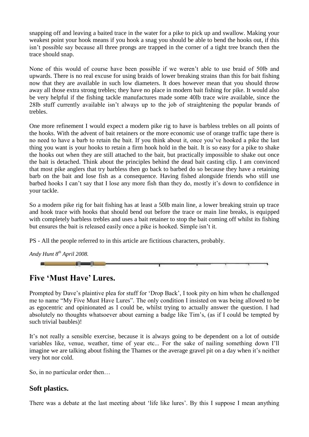snapping off and leaving a baited trace in the water for a pike to pick up and swallow. Making your weakest point your hook means if you hook a snag you should be able to bend the hooks out, if this isn"t possible say because all three prongs are trapped in the corner of a tight tree branch then the trace should snap.

None of this would of course have been possible if we weren"t able to use braid of 50lb and upwards. There is no real excuse for using braids of lower breaking strains than this for bait fishing now that they are available in such low diameters. It does however mean that you should throw away all those extra strong trebles; they have no place in modern bait fishing for pike. It would also be very helpful if the fishing tackle manufactures made some 40lb trace wire available, since the 28lb stuff currently available isn"t always up to the job of straightening the popular brands of trebles.

One more refinement I would expect a modern pike rig to have is barbless trebles on all points of the hooks. With the advent of bait retainers or the more economic use of orange traffic tape there is no need to have a barb to retain the bait. If you think about it, once you"ve hooked a pike the last thing you want is your hooks to retain a firm hook hold in the bait. It is so easy for a pike to shake the hooks out when they are still attached to the bait, but practically impossible to shake out once the bait is detached. Think about the principles behind the dead bait casting clip. I am convinced that most pike anglers that try barbless then go back to barbed do so because they have a retaining barb on the bait and lose fish as a consequence. Having fished alongside friends who still use barbed hooks I can't say that I lose any more fish than they do, mostly it's down to confidence in your tackle.

So a modern pike rig for bait fishing has at least a 50lb main line, a lower breaking strain up trace and hook trace with hooks that should bend out before the trace or main line breaks, is equipped with completely barbless trebles and uses a bait retainer to stop the bait coming off whilst its fishing but ensures the bait is released easily once a pike is hooked. Simple isn"t it.

PS - All the people referred to in this article are fictitious characters, probably.





### **Five 'Must Have' Lures.**

Prompted by Dave"s plaintive plea for stuff for "Drop Back", I took pity on him when he challenged me to name "My Five Must Have Lures". The only condition I insisted on was being allowed to be as egocentric and opinionated as I could be, whilst trying to actually answer the question. I had absolutely no thoughts whatsoever about earning a badge like Tim"s, (as if I could be tempted by such trivial baubles)!

It"s not really a sensible exercise, because it is always going to be dependent on a lot of outside variables like, venue, weather, time of year etc... For the sake of nailing something down I"ll imagine we are talking about fishing the Thames or the average gravel pit on a day when it's neither very hot nor cold.

So, in no particular order then…

#### **Soft plastics.**

There was a debate at the last meeting about 'life like lures'. By this I suppose I mean anything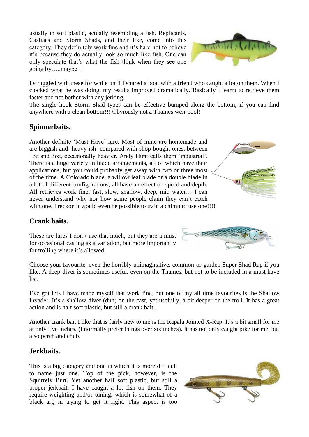usually in soft plastic, actually resembling a fish. Replicants, Castiacs and Storm Shads, and their like, come into this category. They definitely work fine and it"s hard not to believe it"s because they do actually look so much like fish. One can only speculate that"s what the fish think when they see one going by…..maybe !!



I struggled with these for while until I shared a boat with a friend who caught a lot on them. When I clocked what he was doing, my results improved dramatically. Basically I learnt to retrieve them faster and not bother with any jerking.

The single hook Storm Shad types can be effective bumped along the bottom, if you can find anywhere with a clean bottom!!! Obviously not a Thames weir pool!

#### **Spinnerbaits.**

Another definite "Must Have" lure. Most of mine are homemade and are biggish and heavy-ish compared with shop bought ones, between 1oz and 3oz, occasionally heavier. Andy Hunt calls them "industrial". There is a huge variety in blade arrangements, all of which have their applications, but you could probably get away with two or three most of the time. A Colorado blade, a willow leaf blade or a double blade in a lot of different configurations, all have an effect on speed and depth. All retrieves work fine; fast, slow, shallow, deep, mid water… I can never understand why nor how some people claim they can"t catch with one. I reckon it would even be possible to train a chimp to use one!!!!

#### **Crank baits.**

These are lures I don't use that much, but they are a must for occasional casting as a variation, but more importantly for trolling where it's allowed.

Choose your favourite, even the horribly unimaginative, common-or-garden Super Shad Rap if you like. A deep-diver is sometimes useful, even on the Thames, but not to be included in a must have list.

I"ve got lots I have made myself that work fine, but one of my all time favourites is the Shallow Invader. It's a shallow-diver (duh) on the cast, yet usefully, a bit deeper on the troll. It has a great action and is half soft plastic, but still a crank bait.

Another crank bait I like that is fairly new to me is the Rapala Jointed X-Rap. It's a bit small for me at only five inches, (I normally prefer things over six inches). It has not only caught pike for me, but also perch and chub.

#### **Jerkbaits.**

This is a big category and one in which it is more difficult to name just one. Top of the pick, however, is the Squirrely Burt. Yet another half soft plastic, but still a proper jerkbait. I have caught a lot fish on them. They require weighting and/or tuning, which is somewhat of a black art, in trying to get it right. This aspect is too